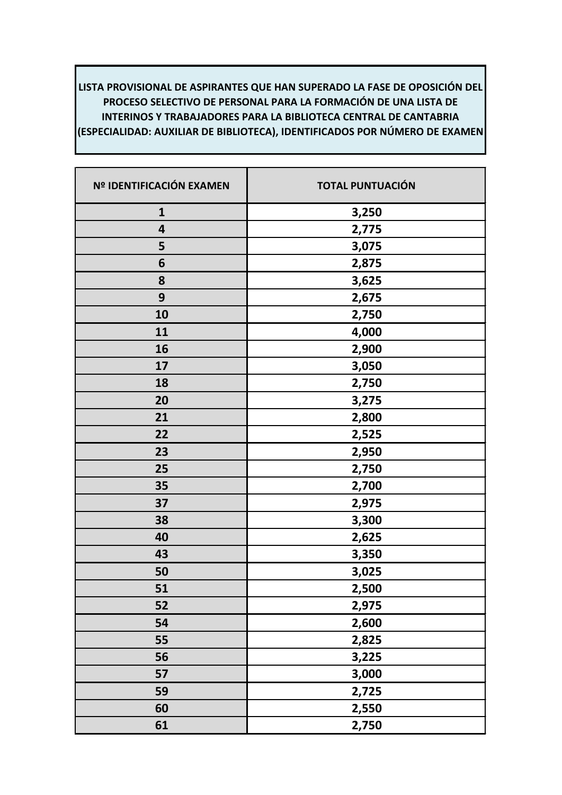| Nº IDENTIFICACIÓN EXAMEN | <b>TOTAL PUNTUACIÓN</b> |
|--------------------------|-------------------------|
| $\mathbf{1}$             | 3,250                   |
| 4                        | 2,775                   |
| 5                        | 3,075                   |
| 6                        | 2,875                   |
| 8                        | 3,625                   |
| 9                        | 2,675                   |
| 10                       | 2,750                   |
| 11                       | 4,000                   |
| 16                       | 2,900                   |
| 17                       | 3,050                   |
| 18                       | 2,750                   |
| 20                       | 3,275                   |
| 21                       | 2,800                   |
| 22                       | 2,525                   |
| 23                       | 2,950                   |
| 25                       | 2,750                   |
| 35                       | 2,700                   |
| 37                       | 2,975                   |
| 38                       | 3,300                   |
| 40                       | 2,625                   |
| 43                       | 3,350                   |
| 50                       | 3,025                   |
| 51                       | 2,500                   |
| 52                       | 2,975                   |
| 54                       | 2,600                   |
| 55                       | 2,825                   |
| 56                       | 3,225                   |
| 57                       | 3,000                   |
| 59                       | 2,725                   |
| 60                       | 2,550                   |
| 61                       | 2,750                   |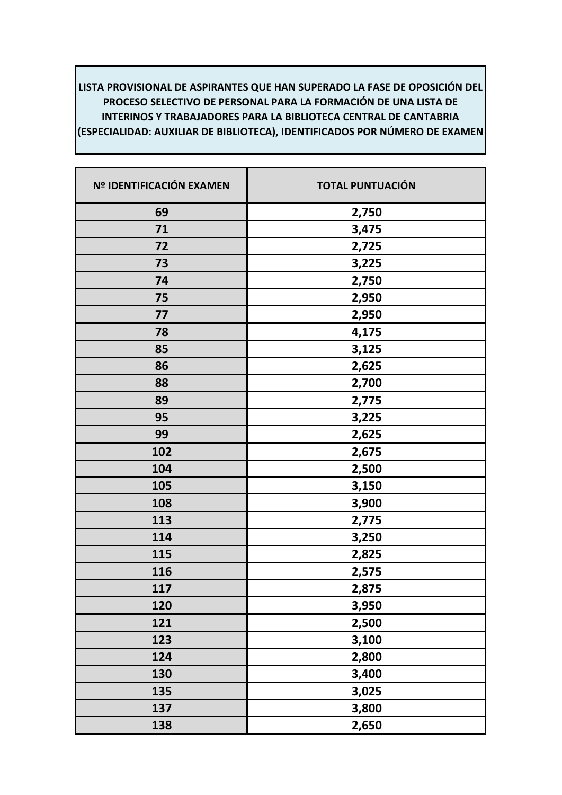| Nº IDENTIFICACIÓN EXAMEN | <b>TOTAL PUNTUACIÓN</b> |
|--------------------------|-------------------------|
| 69                       | 2,750                   |
| 71                       | 3,475                   |
| 72                       | 2,725                   |
| 73                       | 3,225                   |
| 74                       | 2,750                   |
| 75                       | 2,950                   |
| 77                       | 2,950                   |
| 78                       | 4,175                   |
| 85                       | 3,125                   |
| 86                       | 2,625                   |
| 88                       | 2,700                   |
| 89                       | 2,775                   |
| 95                       | 3,225                   |
| 99                       | 2,625                   |
| 102                      | 2,675                   |
| 104                      | 2,500                   |
| 105                      | 3,150                   |
| 108                      | 3,900                   |
| 113                      | 2,775                   |
| 114                      | 3,250                   |
| 115                      | 2,825                   |
| 116                      | 2,575                   |
| 117                      | 2,875                   |
| 120                      | 3,950                   |
| 121                      | 2,500                   |
| 123                      | 3,100                   |
| 124                      | 2,800                   |
| 130                      | 3,400                   |
| 135                      | 3,025                   |
| 137                      | 3,800                   |
| 138                      | 2,650                   |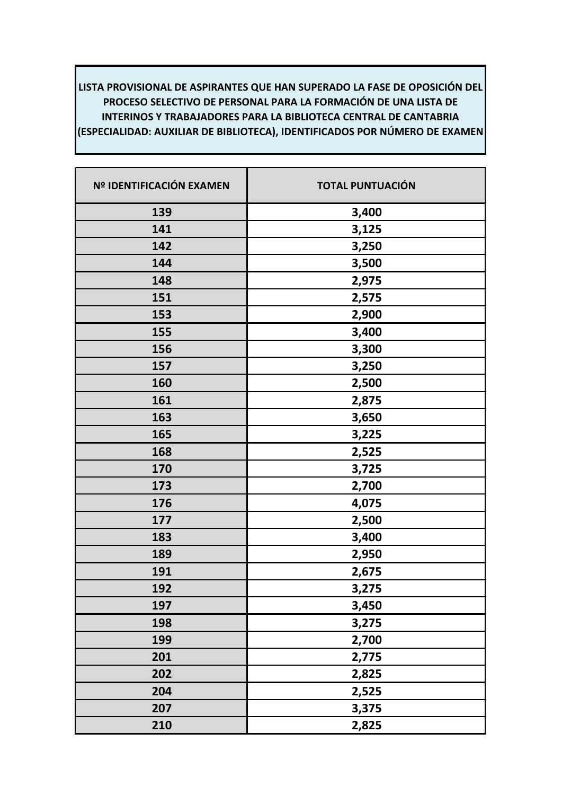| Nº IDENTIFICACIÓN EXAMEN | <b>TOTAL PUNTUACIÓN</b> |
|--------------------------|-------------------------|
| 139                      | 3,400                   |
| 141                      | 3,125                   |
| 142                      | 3,250                   |
| 144                      | 3,500                   |
| 148                      | 2,975                   |
| 151                      | 2,575                   |
| 153                      | 2,900                   |
| 155                      | 3,400                   |
| 156                      | 3,300                   |
| 157                      | 3,250                   |
| 160                      | 2,500                   |
| 161                      | 2,875                   |
| 163                      | 3,650                   |
| 165                      | 3,225                   |
| 168                      | 2,525                   |
| 170                      | 3,725                   |
| 173                      | 2,700                   |
| 176                      | 4,075                   |
| 177                      | 2,500                   |
| 183                      | 3,400                   |
| 189                      | 2,950                   |
| 191                      | 2,675                   |
| 192                      | 3,275                   |
| 197                      | 3,450                   |
| 198                      | 3,275                   |
| 199                      | 2,700                   |
| 201                      | 2,775                   |
| 202                      | 2,825                   |
| 204                      | 2,525                   |
| 207                      | 3,375                   |
| 210                      | 2,825                   |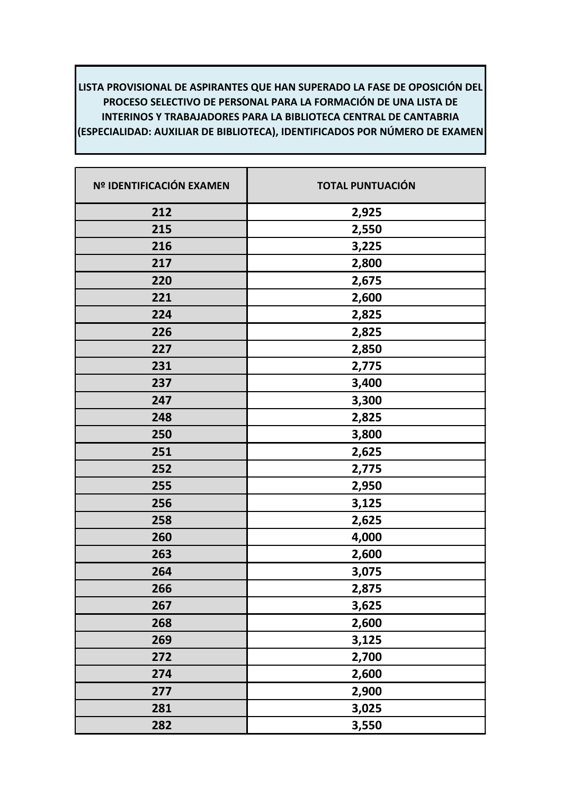| Nº IDENTIFICACIÓN EXAMEN | <b>TOTAL PUNTUACIÓN</b> |
|--------------------------|-------------------------|
| 212                      | 2,925                   |
| 215                      | 2,550                   |
| 216                      | 3,225                   |
| 217                      | 2,800                   |
| 220                      | 2,675                   |
| 221                      | 2,600                   |
| 224                      | 2,825                   |
| 226                      | 2,825                   |
| 227                      | 2,850                   |
| 231                      | 2,775                   |
| 237                      | 3,400                   |
| 247                      | 3,300                   |
| 248                      | 2,825                   |
| 250                      | 3,800                   |
| 251                      | 2,625                   |
| 252                      | 2,775                   |
| 255                      | 2,950                   |
| 256                      | 3,125                   |
| 258                      | 2,625                   |
| 260                      | 4,000                   |
| 263                      | 2,600                   |
| 264                      | 3,075                   |
| 266                      | 2,875                   |
| 267                      | 3,625                   |
| 268                      | 2,600                   |
| 269                      | 3,125                   |
| 272                      | 2,700                   |
| 274                      | 2,600                   |
| 277                      | 2,900                   |
| 281                      | 3,025                   |
| 282                      | 3,550                   |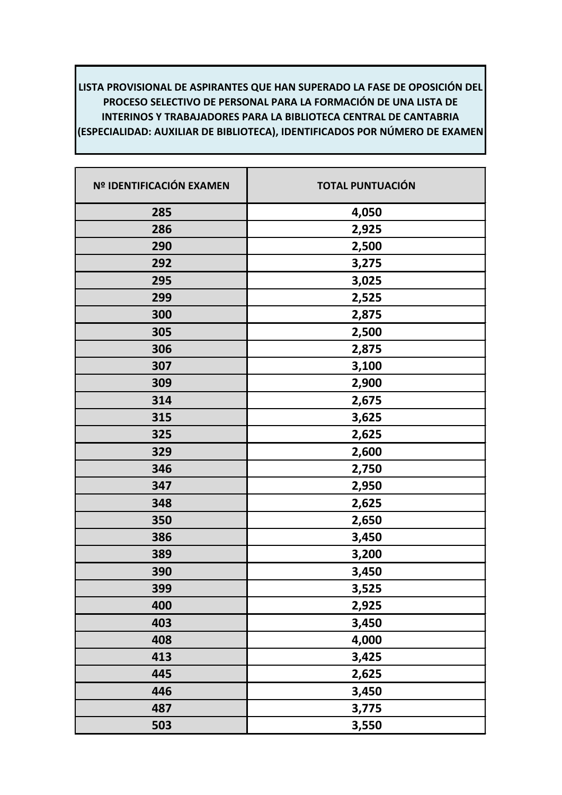| Nº IDENTIFICACIÓN EXAMEN | <b>TOTAL PUNTUACIÓN</b> |
|--------------------------|-------------------------|
| 285                      | 4,050                   |
| 286                      | 2,925                   |
| 290                      | 2,500                   |
| 292                      | 3,275                   |
| 295                      | 3,025                   |
| 299                      | 2,525                   |
| 300                      | 2,875                   |
| 305                      | 2,500                   |
| 306                      | 2,875                   |
| 307                      | 3,100                   |
| 309                      | 2,900                   |
| 314                      | 2,675                   |
| 315                      | 3,625                   |
| 325                      | 2,625                   |
| 329                      | 2,600                   |
| 346                      | 2,750                   |
| 347                      | 2,950                   |
| 348                      | 2,625                   |
| 350                      | 2,650                   |
| 386                      | 3,450                   |
| 389                      | 3,200                   |
| 390                      | 3,450                   |
| 399                      | 3,525                   |
| 400                      | 2,925                   |
| 403                      | 3,450                   |
| 408                      | 4,000                   |
| 413                      | 3,425                   |
| 445                      | 2,625                   |
| 446                      | 3,450                   |
| 487                      | 3,775                   |
| 503                      | 3,550                   |